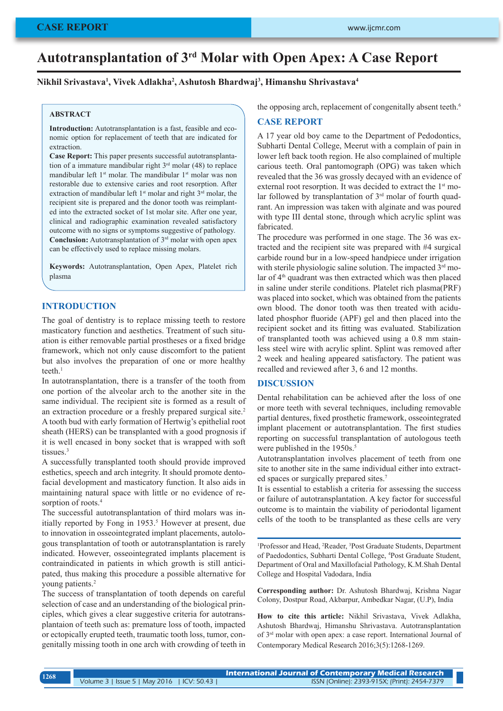# **Autotransplantation of 3rd Molar with Open Apex: A Case Report**

## **Nikhil Srivastava1 , Vivek Adlakha2 , Ashutosh Bhardwaj3 , Himanshu Shrivastava4**

#### **ABSTRACT**

**Introduction:** Autotransplantation is a fast, feasible and economic option for replacement of teeth that are indicated for extraction.

**Case Report:** This paper presents successful autotransplantation of a immature mandibular right  $3<sup>rd</sup>$  molar (48) to replace mandibular left 1<sup>st</sup> molar. The mandibular 1<sup>st</sup> molar was non restorable due to extensive caries and root resorption. After extraction of mandibular left 1<sup>st</sup> molar and right 3<sup>rd</sup> molar, the recipient site is prepared and the donor tooth was reimplanted into the extracted socket of 1st molar site. After one year, clinical and radiographic examination revealed satisfactory outcome with no signs or symptoms suggestive of pathology. **Conclusion:** Autotransplantation of 3<sup>rd</sup> molar with open apex can be effectively used to replace missing molars.

**Keywords:** Autotransplantation, Open Apex, Platelet rich plasma

## **INTRODUCTION**

The goal of dentistry is to replace missing teeth to restore masticatory function and aesthetics. Treatment of such situation is either removable partial prostheses or a fixed bridge framework, which not only cause discomfort to the patient but also involves the preparation of one or more healthy teeth. $<sup>1</sup>$ </sup>

In autotransplantation, there is a transfer of the tooth from one portion of the alveolar arch to the another site in the same individual. The recipient site is formed as a result of an extraction procedure or a freshly prepared surgical site.2 A tooth bud with early formation of Hertwig's epithelial root sheath (HERS) can be transplanted with a good prognosis if it is well encased in bony socket that is wrapped with soft tissues.<sup>3</sup>

A successfully transplanted tooth should provide improved esthetics, speech and arch integrity. It should promote dentofacial development and masticatory function. It also aids in maintaining natural space with little or no evidence of resorption of roots.<sup>4</sup>

The successful autotransplantation of third molars was initially reported by Fong in 1953.<sup>5</sup> However at present, due to innovation in osseointegrated implant placements, autologous transplantation of tooth or autotransplantation is rarely indicated. However, osseointegrated implants placement is contraindicated in patients in which growth is still anticipated, thus making this procedure a possible alternative for young patients.<sup>2</sup>

The success of transplantation of tooth depends on careful selection of case and an understanding of the biological principles, which gives a clear suggestive criteria for autotransplantaion of teeth such as: premature loss of tooth, impacted or ectopically erupted teeth, traumatic tooth loss, tumor, congenitally missing tooth in one arch with crowding of teeth in the opposing arch, replacement of congenitally absent teeth.<sup>6</sup>

## **CASE REPORT**

A 17 year old boy came to the Department of Pedodontics, Subharti Dental College, Meerut with a complain of pain in lower left back tooth region. He also complained of multiple carious teeth. Oral pantomograph (OPG) was taken which revealed that the 36 was grossly decayed with an evidence of external root resorption. It was decided to extract the 1<sup>st</sup> molar followed by transplantation of 3<sup>rd</sup> molar of fourth quadrant. An impression was taken with alginate and was poured with type III dental stone, through which acrylic splint was fabricated.

The procedure was performed in one stage. The 36 was extracted and the recipient site was prepared with #4 surgical carbide round bur in a low-speed handpiece under irrigation with sterile physiologic saline solution. The impacted 3<sup>rd</sup> molar of 4<sup>th</sup> quadrant was then extracted which was then placed in saline under sterile conditions. Platelet rich plasma(PRF) was placed into socket, which was obtained from the patients own blood. The donor tooth was then treated with acidulated phosphor fluoride (APF) gel and then placed into the recipient socket and its fitting was evaluated. Stabilization of transplanted tooth was achieved using a 0.8 mm stainless steel wire with acrylic splint. Splint was removed after 2 week and healing appeared satisfactory. The patient was recalled and reviewed after 3, 6 and 12 months.

### **DISCUSSION**

Dental rehabilitation can be achieved after the loss of one or more teeth with several techniques, including removable partial dentures, fixed prosthetic framework, osseointegrated implant placement or autotransplantation. The first studies reporting on successful transplantation of autologous teeth were published in the 1950s.<sup>5</sup>

Autotransplantation involves placement of teeth from one site to another site in the same individual either into extracted spaces or surgically prepared sites.<sup>7</sup>

It is essential to establish a criteria for assessing the success or failure of autotransplantation. A key factor for successful outcome is to maintain the viability of periodontal ligament cells of the tooth to be transplanted as these cells are very

<sup>1</sup>Professor and Head, <sup>2</sup>Reader, <sup>3</sup>Post Graduate Students, Department of Paedodontics, Subharti Dental College, 4 Post Graduate Student, Department of Oral and Maxillofacial Pathology, K.M.Shah Dental College and Hospital Vadodara, India

**Corresponding author:** Dr. Ashutosh Bhardwaj, Krishna Nagar Colony, Dostpur Road, Akbarpur, Ambedkar Nagar, (U.P), India

**How to cite this article:** Nikhil Srivastava, Vivek Adlakha, Ashutosh Bhardwaj, Himanshu Shrivastava. Autotransplantation of 3rd molar with open apex: a case report. International Journal of Contemporary Medical Research 2016;3(5):1268-1269.